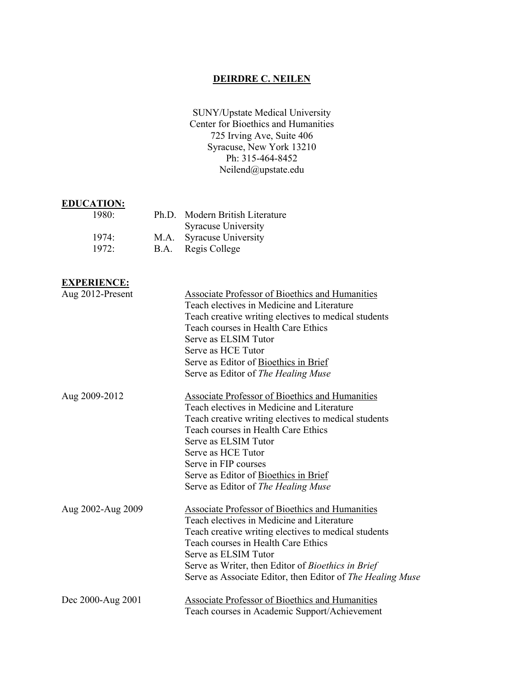# **DEIRDRE C. NEILEN**

SUNY/Upstate Medical University Center for Bioethics and Humanities 725 Irving Ave, Suite 406 Syracuse, New York 13210 Ph: 315-464-8452 Neilend@upstate.edu

## **EDUCATION:**

| Ph.D. Modern British Literature |
|---------------------------------|
|                                 |
|                                 |
|                                 |
|                                 |

# **EXPERIENCE:**

| <u>еди екидири</u> |                                                            |
|--------------------|------------------------------------------------------------|
| Aug 2012-Present   | <b>Associate Professor of Bioethics and Humanities</b>     |
|                    | Teach electives in Medicine and Literature                 |
|                    | Teach creative writing electives to medical students       |
|                    | Teach courses in Health Care Ethics                        |
|                    | Serve as ELSIM Tutor                                       |
|                    | Serve as HCE Tutor                                         |
|                    | Serve as Editor of Bioethics in Brief                      |
|                    | Serve as Editor of The Healing Muse                        |
| Aug 2009-2012      | <b>Associate Professor of Bioethics and Humanities</b>     |
|                    | Teach electives in Medicine and Literature                 |
|                    | Teach creative writing electives to medical students       |
|                    | Teach courses in Health Care Ethics                        |
|                    | Serve as ELSIM Tutor                                       |
|                    | Serve as HCE Tutor                                         |
|                    | Serve in FIP courses                                       |
|                    | Serve as Editor of Bioethics in Brief                      |
|                    | Serve as Editor of The Healing Muse                        |
| Aug 2002-Aug 2009  | Associate Professor of Bioethics and Humanities            |
|                    | Teach electives in Medicine and Literature                 |
|                    | Teach creative writing electives to medical students       |
|                    | Teach courses in Health Care Ethics                        |
|                    | Serve as ELSIM Tutor                                       |
|                    | Serve as Writer, then Editor of <i>Bioethics in Brief</i>  |
|                    | Serve as Associate Editor, then Editor of The Healing Muse |
| Dec 2000-Aug 2001  | <b>Associate Professor of Bioethics and Humanities</b>     |
|                    | Teach courses in Academic Support/Achievement              |
|                    |                                                            |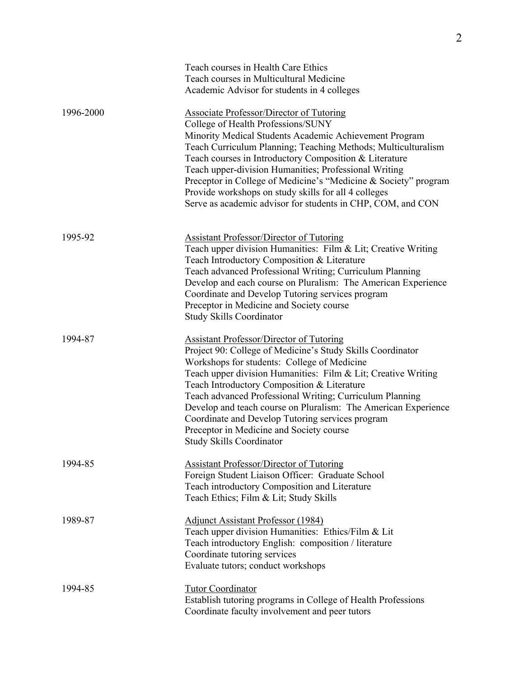|           | Teach courses in Health Care Ethics<br>Teach courses in Multicultural Medicine<br>Academic Advisor for students in 4 colleges                                                                                                                                                                                                                                                                                                                                                                                                                 |
|-----------|-----------------------------------------------------------------------------------------------------------------------------------------------------------------------------------------------------------------------------------------------------------------------------------------------------------------------------------------------------------------------------------------------------------------------------------------------------------------------------------------------------------------------------------------------|
| 1996-2000 | <b>Associate Professor/Director of Tutoring</b><br>College of Health Professions/SUNY<br>Minority Medical Students Academic Achievement Program<br>Teach Curriculum Planning; Teaching Methods; Multiculturalism<br>Teach courses in Introductory Composition & Literature<br>Teach upper-division Humanities; Professional Writing<br>Preceptor in College of Medicine's "Medicine & Society" program<br>Provide workshops on study skills for all 4 colleges<br>Serve as academic advisor for students in CHP, COM, and CON                 |
| 1995-92   | <b>Assistant Professor/Director of Tutoring</b><br>Teach upper division Humanities: Film & Lit; Creative Writing<br>Teach Introductory Composition & Literature<br>Teach advanced Professional Writing; Curriculum Planning<br>Develop and each course on Pluralism: The American Experience<br>Coordinate and Develop Tutoring services program<br>Preceptor in Medicine and Society course<br><b>Study Skills Coordinator</b>                                                                                                               |
| 1994-87   | <b>Assistant Professor/Director of Tutoring</b><br>Project 90: College of Medicine's Study Skills Coordinator<br>Workshops for students: College of Medicine<br>Teach upper division Humanities: Film & Lit; Creative Writing<br>Teach Introductory Composition & Literature<br>Teach advanced Professional Writing; Curriculum Planning<br>Develop and teach course on Pluralism: The American Experience<br>Coordinate and Develop Tutoring services program<br>Preceptor in Medicine and Society course<br><b>Study Skills Coordinator</b> |
| 1994-85   | <b>Assistant Professor/Director of Tutoring</b><br>Foreign Student Liaison Officer: Graduate School<br>Teach introductory Composition and Literature<br>Teach Ethics; Film & Lit; Study Skills                                                                                                                                                                                                                                                                                                                                                |
| 1989-87   | <b>Adjunct Assistant Professor (1984)</b><br>Teach upper division Humanities: Ethics/Film & Lit<br>Teach introductory English: composition / literature<br>Coordinate tutoring services<br>Evaluate tutors; conduct workshops                                                                                                                                                                                                                                                                                                                 |
| 1994-85   | <b>Tutor Coordinator</b><br>Establish tutoring programs in College of Health Professions<br>Coordinate faculty involvement and peer tutors                                                                                                                                                                                                                                                                                                                                                                                                    |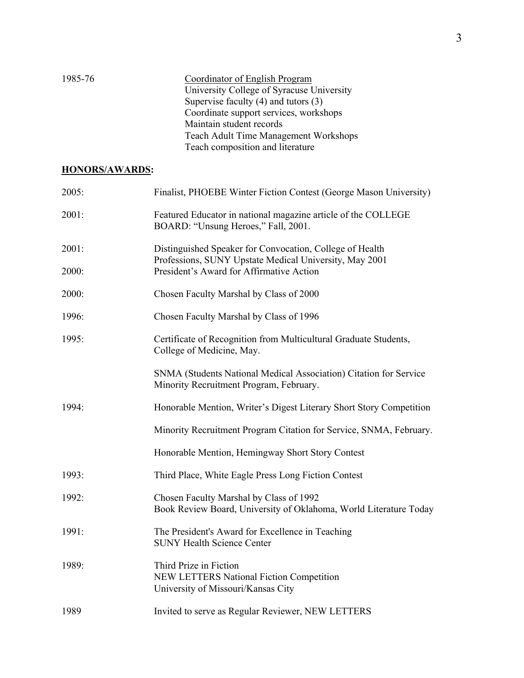| 1985-76 | Coordinator of English Program               |
|---------|----------------------------------------------|
|         | University College of Syracuse University    |
|         | Supervise faculty $(4)$ and tutors $(3)$     |
|         | Coordinate support services, workshops       |
|         | Maintain student records                     |
|         | <b>Teach Adult Time Management Workshops</b> |
|         | Teach composition and literature             |

# **HONORS/AWARDS:**

| 2005: | Finalist, PHOEBE Winter Fiction Contest (George Mason University)                                                  |
|-------|--------------------------------------------------------------------------------------------------------------------|
| 2001: | Featured Educator in national magazine article of the COLLEGE<br>BOARD: "Unsung Heroes," Fall, 2001.               |
| 2001: | Distinguished Speaker for Convocation, College of Health<br>Professions, SUNY Upstate Medical University, May 2001 |
| 2000: | President's Award for Affirmative Action                                                                           |
| 2000: | Chosen Faculty Marshal by Class of 2000                                                                            |
| 1996: | Chosen Faculty Marshal by Class of 1996                                                                            |
| 1995: | Certificate of Recognition from Multicultural Graduate Students,<br>College of Medicine, May.                      |
|       | SNMA (Students National Medical Association) Citation for Service<br>Minority Recruitment Program, February.       |
| 1994: | Honorable Mention, Writer's Digest Literary Short Story Competition                                                |
|       | Minority Recruitment Program Citation for Service, SNMA, February.                                                 |
|       | Honorable Mention, Hemingway Short Story Contest                                                                   |
| 1993: | Third Place, White Eagle Press Long Fiction Contest                                                                |
| 1992: | Chosen Faculty Marshal by Class of 1992<br>Book Review Board, University of Oklahoma, World Literature Today       |
| 1991: | The President's Award for Excellence in Teaching<br><b>SUNY Health Science Center</b>                              |
| 1989: | Third Prize in Fiction<br>NEW LETTERS National Fiction Competition<br>University of Missouri/Kansas City           |
| 1989  | Invited to serve as Regular Reviewer, NEW LETTERS                                                                  |
|       |                                                                                                                    |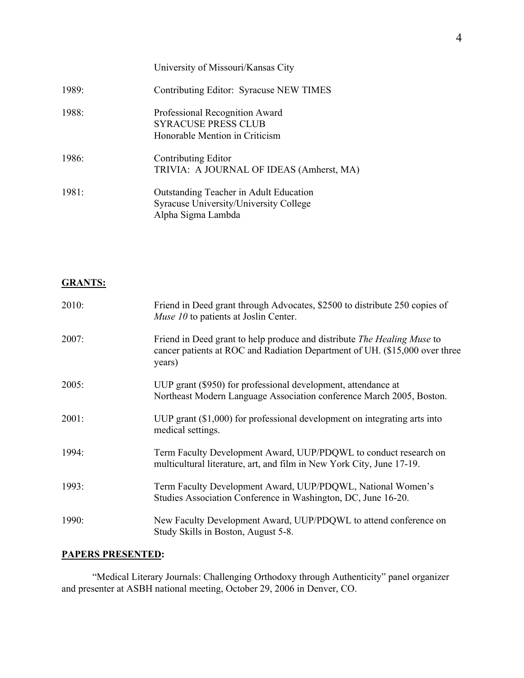|       | University of Missouri/Kansas City                                                                     |
|-------|--------------------------------------------------------------------------------------------------------|
| 1989: | Contributing Editor: Syracuse NEW TIMES                                                                |
| 1988: | Professional Recognition Award<br><b>SYRACUSE PRESS CLUB</b><br>Honorable Mention in Criticism         |
| 1986: | Contributing Editor<br>TRIVIA: A JOURNAL OF IDEAS (Amherst, MA)                                        |
| 1981: | Outstanding Teacher in Adult Education<br>Syracuse University/University College<br>Alpha Sigma Lambda |

# **GRANTS:**

| 2010: | Friend in Deed grant through Advocates, \$2500 to distribute 250 copies of<br>Muse 10 to patients at Joslin Center.                                                     |
|-------|-------------------------------------------------------------------------------------------------------------------------------------------------------------------------|
| 2007: | Friend in Deed grant to help produce and distribute <i>The Healing Muse</i> to<br>cancer patients at ROC and Radiation Department of UH. (\$15,000 over three<br>years) |
| 2005: | UUP grant (\$950) for professional development, attendance at<br>Northeast Modern Language Association conference March 2005, Boston.                                   |
| 2001: | UUP grant $(\$1,000)$ for professional development on integrating arts into<br>medical settings.                                                                        |
| 1994: | Term Faculty Development Award, UUP/PDQWL to conduct research on<br>multicultural literature, art, and film in New York City, June 17-19.                               |
| 1993: | Term Faculty Development Award, UUP/PDQWL, National Women's<br>Studies Association Conference in Washington, DC, June 16-20.                                            |
| 1990: | New Faculty Development Award, UUP/PDQWL to attend conference on<br>Study Skills in Boston, August 5-8.                                                                 |

# **PAPERS PRESENTED:**

"Medical Literary Journals: Challenging Orthodoxy through Authenticity" panel organizer and presenter at ASBH national meeting, October 29, 2006 in Denver, CO.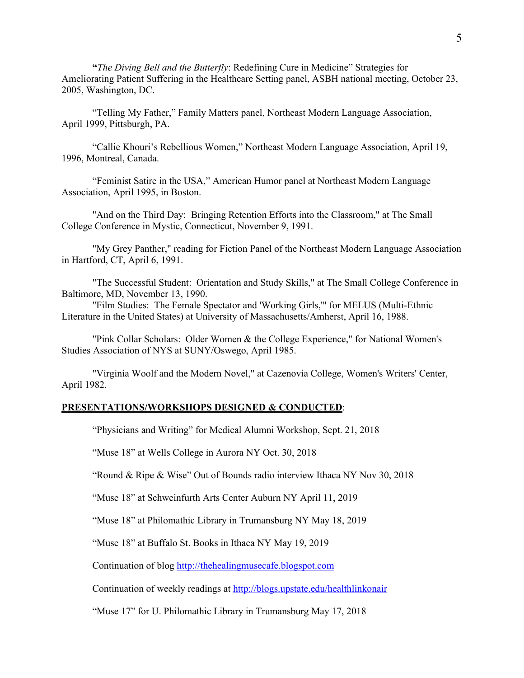**"***The Diving Bell and the Butterfly*: Redefining Cure in Medicine" Strategies for Ameliorating Patient Suffering in the Healthcare Setting panel, ASBH national meeting, October 23, 2005, Washington, DC.

"Telling My Father," Family Matters panel, Northeast Modern Language Association, April 1999, Pittsburgh, PA.

"Callie Khouri's Rebellious Women," Northeast Modern Language Association, April 19, 1996, Montreal, Canada.

"Feminist Satire in the USA," American Humor panel at Northeast Modern Language Association, April 1995, in Boston.

"And on the Third Day: Bringing Retention Efforts into the Classroom," at The Small College Conference in Mystic, Connecticut, November 9, 1991.

"My Grey Panther," reading for Fiction Panel of the Northeast Modern Language Association in Hartford, CT, April 6, 1991.

"The Successful Student: Orientation and Study Skills," at The Small College Conference in Baltimore, MD, November 13, 1990.

"Film Studies: The Female Spectator and 'Working Girls,'" for MELUS (Multi-Ethnic Literature in the United States) at University of Massachusetts/Amherst, April 16, 1988.

"Pink Collar Scholars: Older Women & the College Experience," for National Women's Studies Association of NYS at SUNY/Oswego, April 1985.

"Virginia Woolf and the Modern Novel," at Cazenovia College, Women's Writers' Center, April 1982.

## **PRESENTATIONS/WORKSHOPS DESIGNED & CONDUCTED**:

"Physicians and Writing" for Medical Alumni Workshop, Sept. 21, 2018

"Muse 18" at Wells College in Aurora NY Oct. 30, 2018

"Round & Ripe & Wise" Out of Bounds radio interview Ithaca NY Nov 30, 2018

"Muse 18" at Schweinfurth Arts Center Auburn NY April 11, 2019

"Muse 18" at Philomathic Library in Trumansburg NY May 18, 2019

"Muse 18" at Buffalo St. Books in Ithaca NY May 19, 2019

Continuation of blog http://thehealingmusecafe.blogspot.com

Continuation of weekly readings at http://blogs.upstate.edu/healthlinkonair

"Muse 17" for U. Philomathic Library in Trumansburg May 17, 2018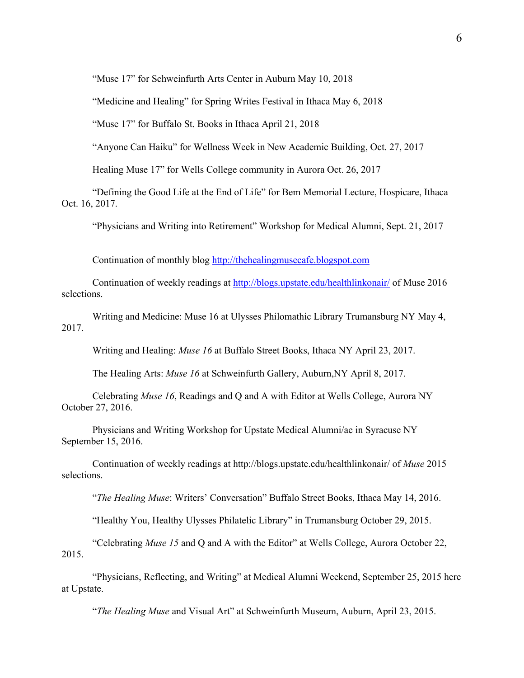"Muse 17" for Schweinfurth Arts Center in Auburn May 10, 2018

"Medicine and Healing" for Spring Writes Festival in Ithaca May 6, 2018

"Muse 17" for Buffalo St. Books in Ithaca April 21, 2018

"Anyone Can Haiku" for Wellness Week in New Academic Building, Oct. 27, 2017

Healing Muse 17" for Wells College community in Aurora Oct. 26, 2017

"Defining the Good Life at the End of Life" for Bem Memorial Lecture, Hospicare, Ithaca Oct. 16, 2017.

"Physicians and Writing into Retirement" Workshop for Medical Alumni, Sept. 21, 2017

Continuation of monthly blog http://thehealingmusecafe.blogspot.com

Continuation of weekly readings at http://blogs.upstate.edu/healthlinkonair/ of Muse 2016 selections.

Writing and Medicine: Muse 16 at Ulysses Philomathic Library Trumansburg NY May 4, 2017.

Writing and Healing: *Muse 16* at Buffalo Street Books, Ithaca NY April 23, 2017.

The Healing Arts: *Muse 16* at Schweinfurth Gallery, Auburn,NY April 8, 2017.

Celebrating *Muse 16*, Readings and Q and A with Editor at Wells College, Aurora NY October 27, 2016.

Physicians and Writing Workshop for Upstate Medical Alumni/ae in Syracuse NY September 15, 2016.

Continuation of weekly readings at http://blogs.upstate.edu/healthlinkonair/ of *Muse* 2015 selections.

"*The Healing Muse*: Writers' Conversation" Buffalo Street Books, Ithaca May 14, 2016.

"Healthy You, Healthy Ulysses Philatelic Library" in Trumansburg October 29, 2015.

"Celebrating *Muse 15* and Q and A with the Editor" at Wells College, Aurora October 22, 2015.

"Physicians, Reflecting, and Writing" at Medical Alumni Weekend, September 25, 2015 here at Upstate.

"*The Healing Muse* and Visual Art" at Schweinfurth Museum, Auburn, April 23, 2015.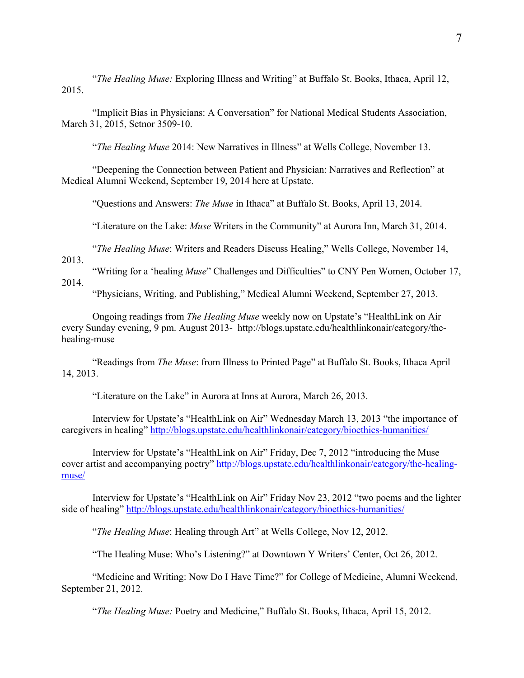"*The Healing Muse:* Exploring Illness and Writing" at Buffalo St. Books, Ithaca, April 12, 2015.

"Implicit Bias in Physicians: A Conversation" for National Medical Students Association, March 31, 2015, Setnor 3509-10.

"*The Healing Muse* 2014: New Narratives in Illness" at Wells College, November 13.

"Deepening the Connection between Patient and Physician: Narratives and Reflection" at Medical Alumni Weekend, September 19, 2014 here at Upstate.

"Questions and Answers: *The Muse* in Ithaca" at Buffalo St. Books, April 13, 2014.

"Literature on the Lake: *Muse* Writers in the Community" at Aurora Inn, March 31, 2014.

"*The Healing Muse*: Writers and Readers Discuss Healing," Wells College, November 14,

2013.

"Writing for a 'healing *Muse*" Challenges and Difficulties" to CNY Pen Women, October 17, 2014.

"Physicians, Writing, and Publishing," Medical Alumni Weekend, September 27, 2013.

Ongoing readings from *The Healing Muse* weekly now on Upstate's "HealthLink on Air every Sunday evening, 9 pm. August 2013- http://blogs.upstate.edu/healthlinkonair/category/thehealing-muse

"Readings from *The Muse*: from Illness to Printed Page" at Buffalo St. Books, Ithaca April 14, 2013.

"Literature on the Lake" in Aurora at Inns at Aurora, March 26, 2013.

Interview for Upstate's "HealthLink on Air" Wednesday March 13, 2013 "the importance of caregivers in healing" http://blogs.upstate.edu/healthlinkonair/category/bioethics-humanities/

Interview for Upstate's "HealthLink on Air" Friday, Dec 7, 2012 "introducing the Muse cover artist and accompanying poetry" http://blogs.upstate.edu/healthlinkonair/category/the-healingmuse/

Interview for Upstate's "HealthLink on Air" Friday Nov 23, 2012 "two poems and the lighter side of healing" http://blogs.upstate.edu/healthlinkonair/category/bioethics-humanities/

"*The Healing Muse*: Healing through Art" at Wells College, Nov 12, 2012.

"The Healing Muse: Who's Listening?" at Downtown Y Writers' Center, Oct 26, 2012.

"Medicine and Writing: Now Do I Have Time?" for College of Medicine, Alumni Weekend, September 21, 2012.

"*The Healing Muse:* Poetry and Medicine," Buffalo St. Books, Ithaca, April 15, 2012.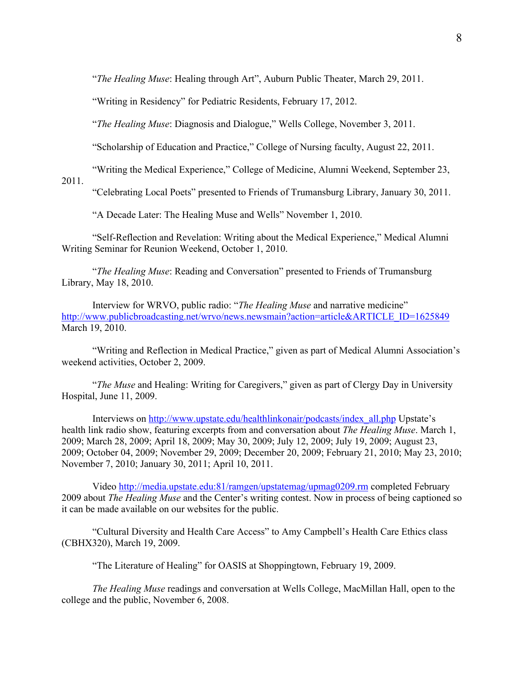"*The Healing Muse*: Healing through Art", Auburn Public Theater, March 29, 2011.

"Writing in Residency" for Pediatric Residents, February 17, 2012.

"*The Healing Muse*: Diagnosis and Dialogue," Wells College, November 3, 2011.

"Scholarship of Education and Practice," College of Nursing faculty, August 22, 2011.

"Writing the Medical Experience," College of Medicine, Alumni Weekend, September 23,

2011.

"Celebrating Local Poets" presented to Friends of Trumansburg Library, January 30, 2011.

"A Decade Later: The Healing Muse and Wells" November 1, 2010.

"Self-Reflection and Revelation: Writing about the Medical Experience," Medical Alumni Writing Seminar for Reunion Weekend, October 1, 2010.

"*The Healing Muse*: Reading and Conversation" presented to Friends of Trumansburg Library, May 18, 2010.

Interview for WRVO, public radio: "*The Healing Muse* and narrative medicine" http://www.publicbroadcasting.net/wrvo/news.newsmain?action=article&ARTICLE\_ID=1625849 March 19, 2010.

"Writing and Reflection in Medical Practice," given as part of Medical Alumni Association's weekend activities, October 2, 2009.

"*The Muse* and Healing: Writing for Caregivers," given as part of Clergy Day in University Hospital, June 11, 2009.

Interviews on http://www.upstate.edu/healthlinkonair/podcasts/index\_all.php Upstate's health link radio show, featuring excerpts from and conversation about *The Healing Muse*. March 1, 2009; March 28, 2009; April 18, 2009; May 30, 2009; July 12, 2009; July 19, 2009; August 23, 2009; October 04, 2009; November 29, 2009; December 20, 2009; February 21, 2010; May 23, 2010; November 7, 2010; January 30, 2011; April 10, 2011.

Video http://media.upstate.edu:81/ramgen/upstatemag/upmag0209.rm completed February 2009 about *The Healing Muse* and the Center's writing contest. Now in process of being captioned so it can be made available on our websites for the public.

"Cultural Diversity and Health Care Access" to Amy Campbell's Health Care Ethics class (CBHX320), March 19, 2009.

"The Literature of Healing" for OASIS at Shoppingtown, February 19, 2009.

*The Healing Muse* readings and conversation at Wells College, MacMillan Hall, open to the college and the public, November 6, 2008.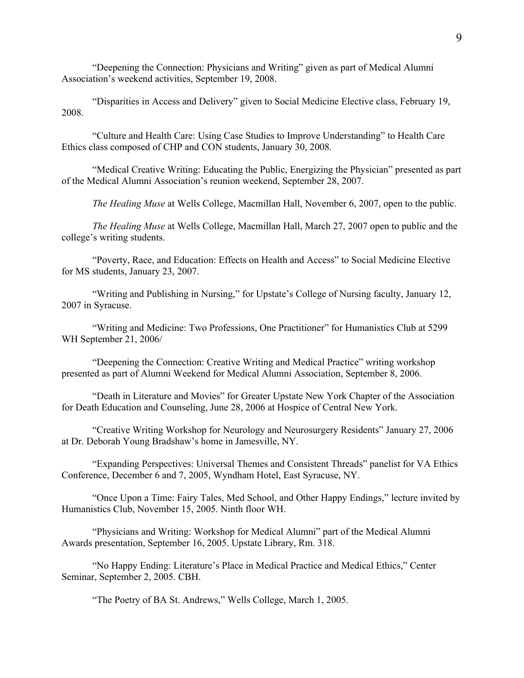"Deepening the Connection: Physicians and Writing" given as part of Medical Alumni Association's weekend activities, September 19, 2008.

"Disparities in Access and Delivery" given to Social Medicine Elective class, February 19, 2008.

"Culture and Health Care: Using Case Studies to Improve Understanding" to Health Care Ethics class composed of CHP and CON students, January 30, 2008.

"Medical Creative Writing: Educating the Public, Energizing the Physician" presented as part of the Medical Alumni Association's reunion weekend, September 28, 2007.

*The Healing Muse* at Wells College, Macmillan Hall, November 6, 2007, open to the public.

*The Healing Muse* at Wells College, Macmillan Hall, March 27, 2007 open to public and the college's writing students.

"Poverty, Race, and Education: Effects on Health and Access" to Social Medicine Elective for MS students, January 23, 2007.

"Writing and Publishing in Nursing," for Upstate's College of Nursing faculty, January 12, 2007 in Syracuse.

"Writing and Medicine: Two Professions, One Practitioner" for Humanistics Club at 5299 WH September 21, 2006/

"Deepening the Connection: Creative Writing and Medical Practice" writing workshop presented as part of Alumni Weekend for Medical Alumni Association, September 8, 2006.

"Death in Literature and Movies" for Greater Upstate New York Chapter of the Association for Death Education and Counseling, June 28, 2006 at Hospice of Central New York.

"Creative Writing Workshop for Neurology and Neurosurgery Residents" January 27, 2006 at Dr. Deborah Young Bradshaw's home in Jamesville, NY.

"Expanding Perspectives: Universal Themes and Consistent Threads" panelist for VA Ethics Conference, December 6 and 7, 2005, Wyndham Hotel, East Syracuse, NY.

"Once Upon a Time: Fairy Tales, Med School, and Other Happy Endings," lecture invited by Humanistics Club, November 15, 2005. Ninth floor WH.

"Physicians and Writing: Workshop for Medical Alumni" part of the Medical Alumni Awards presentation, September 16, 2005. Upstate Library, Rm. 318.

"No Happy Ending: Literature's Place in Medical Practice and Medical Ethics," Center Seminar, September 2, 2005. CBH.

"The Poetry of BA St. Andrews," Wells College, March 1, 2005.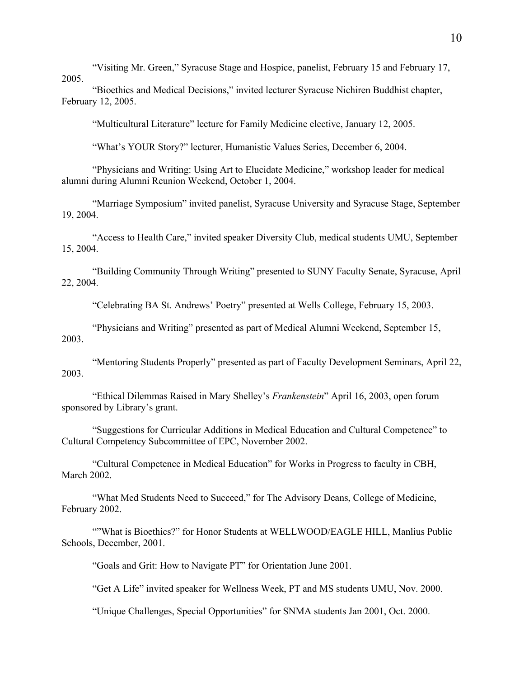"Visiting Mr. Green," Syracuse Stage and Hospice, panelist, February 15 and February 17, 2005.

"Bioethics and Medical Decisions," invited lecturer Syracuse Nichiren Buddhist chapter, February 12, 2005.

"Multicultural Literature" lecture for Family Medicine elective, January 12, 2005.

"What's YOUR Story?" lecturer, Humanistic Values Series, December 6, 2004.

"Physicians and Writing: Using Art to Elucidate Medicine," workshop leader for medical alumni during Alumni Reunion Weekend, October 1, 2004.

"Marriage Symposium" invited panelist, Syracuse University and Syracuse Stage, September 19, 2004.

"Access to Health Care," invited speaker Diversity Club, medical students UMU, September 15, 2004.

"Building Community Through Writing" presented to SUNY Faculty Senate, Syracuse, April 22, 2004.

"Celebrating BA St. Andrews' Poetry" presented at Wells College, February 15, 2003.

"Physicians and Writing" presented as part of Medical Alumni Weekend, September 15, 2003.

"Mentoring Students Properly" presented as part of Faculty Development Seminars, April 22, 2003.

"Ethical Dilemmas Raised in Mary Shelley's *Frankenstein*" April 16, 2003, open forum sponsored by Library's grant.

"Suggestions for Curricular Additions in Medical Education and Cultural Competence" to Cultural Competency Subcommittee of EPC, November 2002.

"Cultural Competence in Medical Education" for Works in Progress to faculty in CBH, March 2002.

"What Med Students Need to Succeed," for The Advisory Deans, College of Medicine, February 2002.

""What is Bioethics?" for Honor Students at WELLWOOD/EAGLE HILL, Manlius Public Schools, December, 2001.

"Goals and Grit: How to Navigate PT" for Orientation June 2001.

"Get A Life" invited speaker for Wellness Week, PT and MS students UMU, Nov. 2000.

"Unique Challenges, Special Opportunities" for SNMA students Jan 2001, Oct. 2000.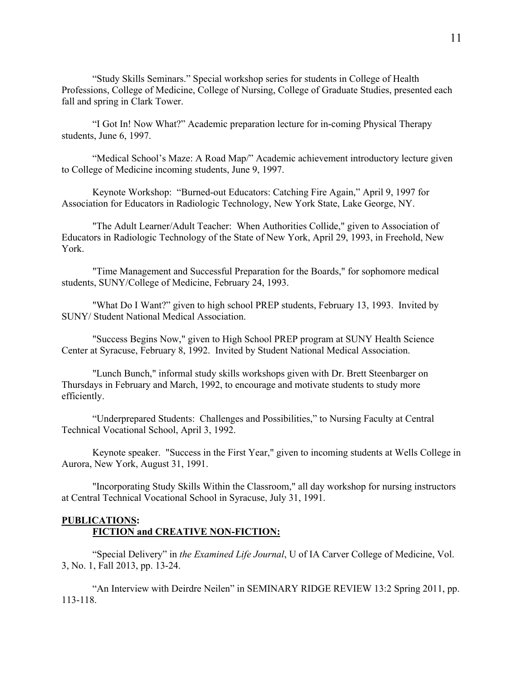"Study Skills Seminars." Special workshop series for students in College of Health Professions, College of Medicine, College of Nursing, College of Graduate Studies, presented each fall and spring in Clark Tower.

"I Got In! Now What?" Academic preparation lecture for in-coming Physical Therapy students, June 6, 1997.

"Medical School's Maze: A Road Map/" Academic achievement introductory lecture given to College of Medicine incoming students, June 9, 1997.

Keynote Workshop: "Burned-out Educators: Catching Fire Again," April 9, 1997 for Association for Educators in Radiologic Technology, New York State, Lake George, NY.

"The Adult Learner/Adult Teacher: When Authorities Collide," given to Association of Educators in Radiologic Technology of the State of New York, April 29, 1993, in Freehold, New York.

"Time Management and Successful Preparation for the Boards," for sophomore medical students, SUNY/College of Medicine, February 24, 1993.

"What Do I Want?" given to high school PREP students, February 13, 1993. Invited by SUNY/ Student National Medical Association.

"Success Begins Now," given to High School PREP program at SUNY Health Science Center at Syracuse, February 8, 1992. Invited by Student National Medical Association.

"Lunch Bunch," informal study skills workshops given with Dr. Brett Steenbarger on Thursdays in February and March, 1992, to encourage and motivate students to study more efficiently.

"Underprepared Students: Challenges and Possibilities," to Nursing Faculty at Central Technical Vocational School, April 3, 1992.

Keynote speaker. "Success in the First Year," given to incoming students at Wells College in Aurora, New York, August 31, 1991.

"Incorporating Study Skills Within the Classroom," all day workshop for nursing instructors at Central Technical Vocational School in Syracuse, July 31, 1991.

## **PUBLICATIONS: FICTION and CREATIVE NON-FICTION:**

"Special Delivery" in *the Examined Life Journal*, U of IA Carver College of Medicine, Vol. 3, No. 1, Fall 2013, pp. 13-24.

"An Interview with Deirdre Neilen" in SEMINARY RIDGE REVIEW 13:2 Spring 2011, pp. 113-118.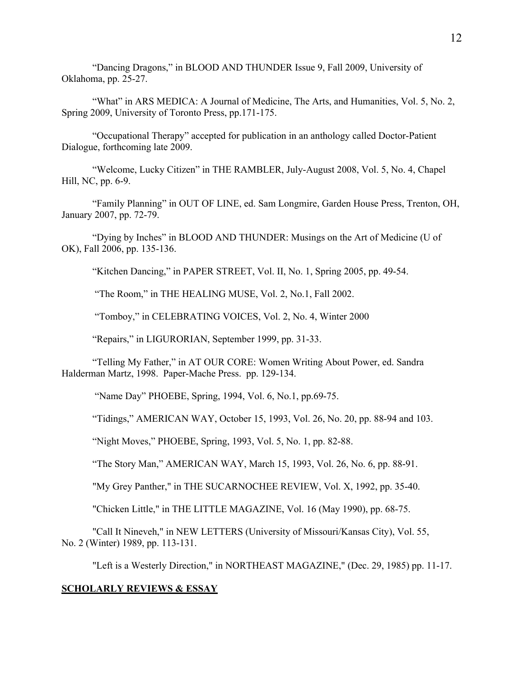"Dancing Dragons," in BLOOD AND THUNDER Issue 9, Fall 2009, University of Oklahoma, pp. 25-27.

"What" in ARS MEDICA: A Journal of Medicine, The Arts, and Humanities, Vol. 5, No. 2, Spring 2009, University of Toronto Press, pp.171-175.

"Occupational Therapy" accepted for publication in an anthology called Doctor-Patient Dialogue, forthcoming late 2009.

"Welcome, Lucky Citizen" in THE RAMBLER, July-August 2008, Vol. 5, No. 4, Chapel Hill, NC, pp. 6-9.

"Family Planning" in OUT OF LINE, ed. Sam Longmire, Garden House Press, Trenton, OH, January 2007, pp. 72-79.

"Dying by Inches" in BLOOD AND THUNDER: Musings on the Art of Medicine (U of OK), Fall 2006, pp. 135-136.

"Kitchen Dancing," in PAPER STREET, Vol. II, No. 1, Spring 2005, pp. 49-54.

"The Room," in THE HEALING MUSE, Vol. 2, No.1, Fall 2002.

"Tomboy," in CELEBRATING VOICES, Vol. 2, No. 4, Winter 2000

"Repairs," in LIGURORIAN, September 1999, pp. 31-33.

"Telling My Father," in AT OUR CORE: Women Writing About Power, ed. Sandra Halderman Martz, 1998. Paper-Mache Press. pp. 129-134.

"Name Day" PHOEBE, Spring, 1994, Vol. 6, No.1, pp.69-75.

"Tidings," AMERICAN WAY, October 15, 1993, Vol. 26, No. 20, pp. 88-94 and 103.

"Night Moves," PHOEBE, Spring, 1993, Vol. 5, No. 1, pp. 82-88.

"The Story Man," AMERICAN WAY, March 15, 1993, Vol. 26, No. 6, pp. 88-91.

"My Grey Panther," in THE SUCARNOCHEE REVIEW, Vol. X, 1992, pp. 35-40.

"Chicken Little," in THE LITTLE MAGAZINE, Vol. 16 (May 1990), pp. 68-75.

"Call It Nineveh," in NEW LETTERS (University of Missouri/Kansas City), Vol. 55, No. 2 (Winter) 1989, pp. 113-131.

"Left is a Westerly Direction," in NORTHEAST MAGAZINE," (Dec. 29, 1985) pp. 11-17.

## **SCHOLARLY REVIEWS & ESSAY**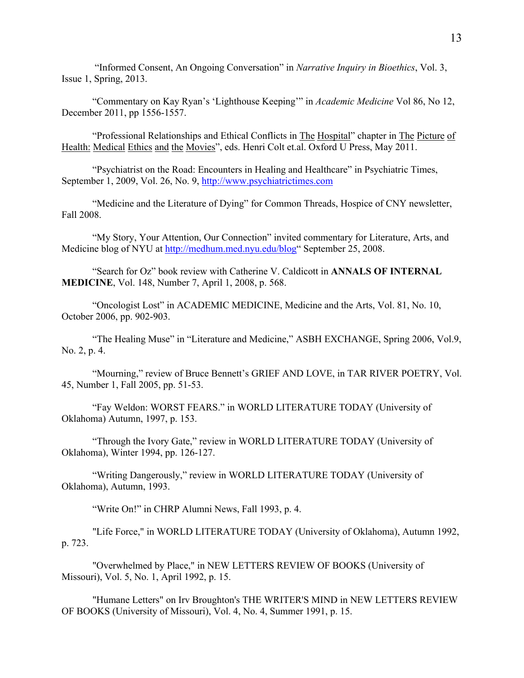"Informed Consent, An Ongoing Conversation" in *Narrative Inquiry in Bioethics*, Vol. 3, Issue 1, Spring, 2013.

"Commentary on Kay Ryan's 'Lighthouse Keeping'" in *Academic Medicine* Vol 86, No 12, December 2011, pp 1556-1557.

"Professional Relationships and Ethical Conflicts in The Hospital" chapter in The Picture of Health: Medical Ethics and the Movies", eds. Henri Colt et.al. Oxford U Press, May 2011.

"Psychiatrist on the Road: Encounters in Healing and Healthcare" in Psychiatric Times, September 1, 2009, Vol. 26, No. 9, http://www.psychiatrictimes.com

"Medicine and the Literature of Dying" for Common Threads, Hospice of CNY newsletter, Fall 2008.

"My Story, Your Attention, Our Connection" invited commentary for Literature, Arts, and Medicine blog of NYU at http://medhum.med.nyu.edu/blog" September 25, 2008.

"Search for Oz" book review with Catherine V. Caldicott in **ANNALS OF INTERNAL MEDICINE**, Vol. 148, Number 7, April 1, 2008, p. 568.

"Oncologist Lost" in ACADEMIC MEDICINE, Medicine and the Arts, Vol. 81, No. 10, October 2006, pp. 902-903.

"The Healing Muse" in "Literature and Medicine," ASBH EXCHANGE, Spring 2006, Vol.9, No. 2, p. 4.

"Mourning," review of Bruce Bennett's GRIEF AND LOVE, in TAR RIVER POETRY, Vol. 45, Number 1, Fall 2005, pp. 51-53.

"Fay Weldon: WORST FEARS." in WORLD LITERATURE TODAY (University of Oklahoma) Autumn, 1997, p. 153.

"Through the Ivory Gate," review in WORLD LITERATURE TODAY (University of Oklahoma), Winter 1994, pp. 126-127.

"Writing Dangerously," review in WORLD LITERATURE TODAY (University of Oklahoma), Autumn, 1993.

"Write On!" in CHRP Alumni News, Fall 1993, p. 4.

"Life Force," in WORLD LITERATURE TODAY (University of Oklahoma), Autumn 1992, p. 723.

"Overwhelmed by Place," in NEW LETTERS REVIEW OF BOOKS (University of Missouri), Vol. 5, No. 1, April 1992, p. 15.

"Humane Letters" on Irv Broughton's THE WRITER'S MIND in NEW LETTERS REVIEW OF BOOKS (University of Missouri), Vol. 4, No. 4, Summer 1991, p. 15.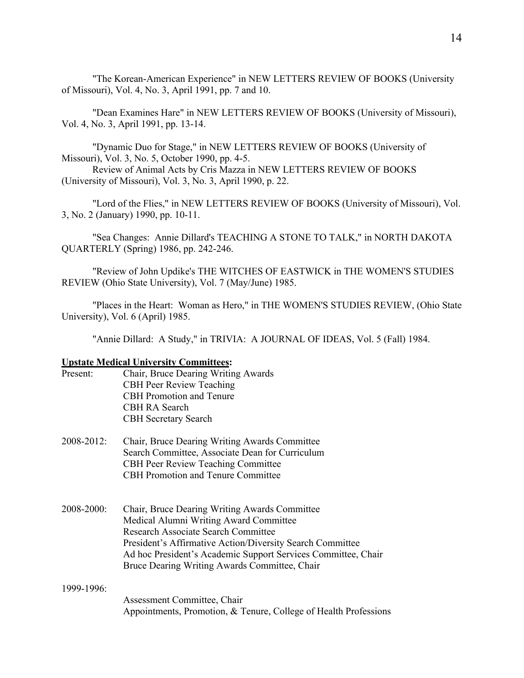"The Korean-American Experience" in NEW LETTERS REVIEW OF BOOKS (University of Missouri), Vol. 4, No. 3, April 1991, pp. 7 and 10.

"Dean Examines Hare" in NEW LETTERS REVIEW OF BOOKS (University of Missouri), Vol. 4, No. 3, April 1991, pp. 13-14.

"Dynamic Duo for Stage," in NEW LETTERS REVIEW OF BOOKS (University of Missouri), Vol. 3, No. 5, October 1990, pp. 4-5.

Review of Animal Acts by Cris Mazza in NEW LETTERS REVIEW OF BOOKS (University of Missouri), Vol. 3, No. 3, April 1990, p. 22.

"Lord of the Flies," in NEW LETTERS REVIEW OF BOOKS (University of Missouri), Vol. 3, No. 2 (January) 1990, pp. 10-11.

"Sea Changes: Annie Dillard's TEACHING A STONE TO TALK," in NORTH DAKOTA QUARTERLY (Spring) 1986, pp. 242-246.

"Review of John Updike's THE WITCHES OF EASTWICK in THE WOMEN'S STUDIES REVIEW (Ohio State University), Vol. 7 (May/June) 1985.

"Places in the Heart: Woman as Hero," in THE WOMEN'S STUDIES REVIEW, (Ohio State University), Vol. 6 (April) 1985.

"Annie Dillard: A Study," in TRIVIA: A JOURNAL OF IDEAS, Vol. 5 (Fall) 1984.

## **Upstate Medical University Committees:**

- Present: Chair, Bruce Dearing Writing Awards CBH Peer Review Teaching CBH Promotion and Tenure CBH RA Search CBH Secretary Search
- 2008-2012: Chair, Bruce Dearing Writing Awards Committee Search Committee, Associate Dean for Curriculum CBH Peer Review Teaching Committee CBH Promotion and Tenure Committee
- 2008-2000: Chair, Bruce Dearing Writing Awards Committee Medical Alumni Writing Award Committee Research Associate Search Committee President's Affirmative Action/Diversity Search Committee Ad hoc President's Academic Support Services Committee, Chair Bruce Dearing Writing Awards Committee, Chair

#### 1999-1996:

Assessment Committee, Chair Appointments, Promotion, & Tenure, College of Health Professions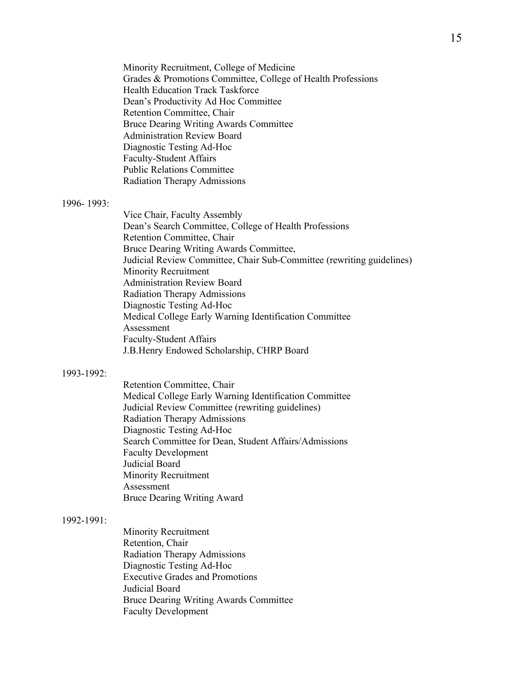Minority Recruitment, College of Medicine Grades & Promotions Committee, College of Health Professions Health Education Track Taskforce Dean's Productivity Ad Hoc Committee Retention Committee, Chair Bruce Dearing Writing Awards Committee Administration Review Board Diagnostic Testing Ad-Hoc Faculty-Student Affairs Public Relations Committee Radiation Therapy Admissions

## 1996- 1993:

Vice Chair, Faculty Assembly Dean's Search Committee, College of Health Professions Retention Committee, Chair Bruce Dearing Writing Awards Committee, Judicial Review Committee, Chair Sub-Committee (rewriting guidelines) Minority Recruitment Administration Review Board Radiation Therapy Admissions Diagnostic Testing Ad-Hoc Medical College Early Warning Identification Committee Assessment Faculty-Student Affairs J.B.Henry Endowed Scholarship, CHRP Board

## 1993-1992:

Retention Committee, Chair Medical College Early Warning Identification Committee Judicial Review Committee (rewriting guidelines) Radiation Therapy Admissions Diagnostic Testing Ad-Hoc Search Committee for Dean, Student Affairs/Admissions Faculty Development Judicial Board Minority Recruitment Assessment Bruce Dearing Writing Award

#### 1992-1991:

Minority Recruitment Retention, Chair Radiation Therapy Admissions Diagnostic Testing Ad-Hoc Executive Grades and Promotions Judicial Board Bruce Dearing Writing Awards Committee Faculty Development